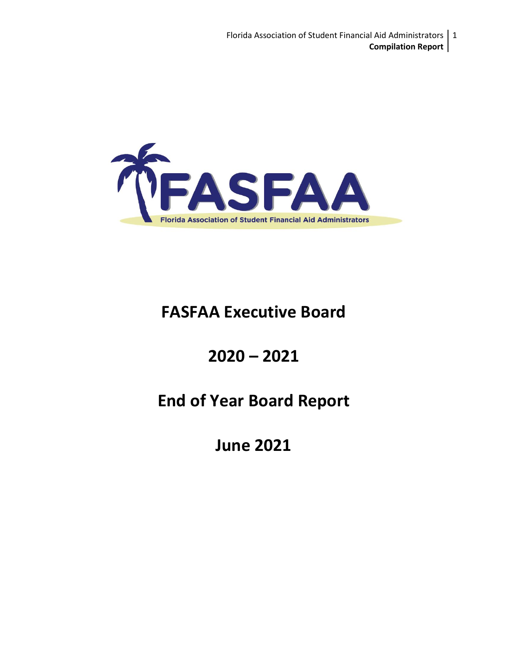

# **FASFAA Executive Board**

# **2020 – 2021**

# **End of Year Board Report**

**June 2021**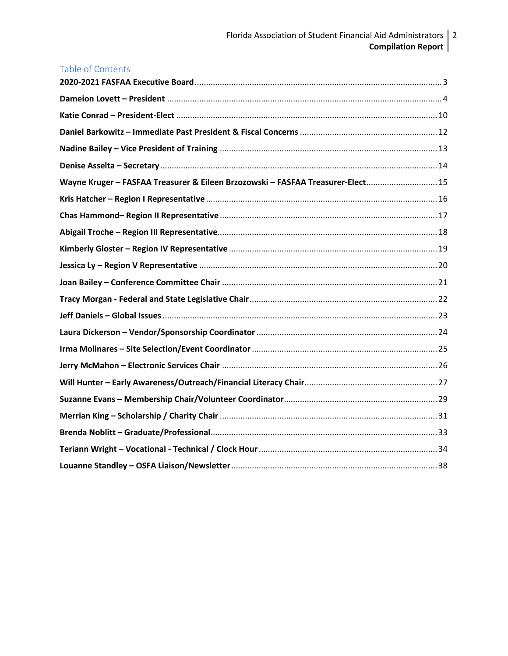| <b>Table of Contents</b>                                                        |  |
|---------------------------------------------------------------------------------|--|
|                                                                                 |  |
|                                                                                 |  |
|                                                                                 |  |
|                                                                                 |  |
|                                                                                 |  |
|                                                                                 |  |
| Wayne Kruger - FASFAA Treasurer & Eileen Brzozowski - FASFAA Treasurer-Elect 15 |  |
|                                                                                 |  |
|                                                                                 |  |
|                                                                                 |  |
|                                                                                 |  |
|                                                                                 |  |
|                                                                                 |  |
|                                                                                 |  |
|                                                                                 |  |
|                                                                                 |  |
|                                                                                 |  |
|                                                                                 |  |
|                                                                                 |  |
|                                                                                 |  |
|                                                                                 |  |
|                                                                                 |  |
|                                                                                 |  |
|                                                                                 |  |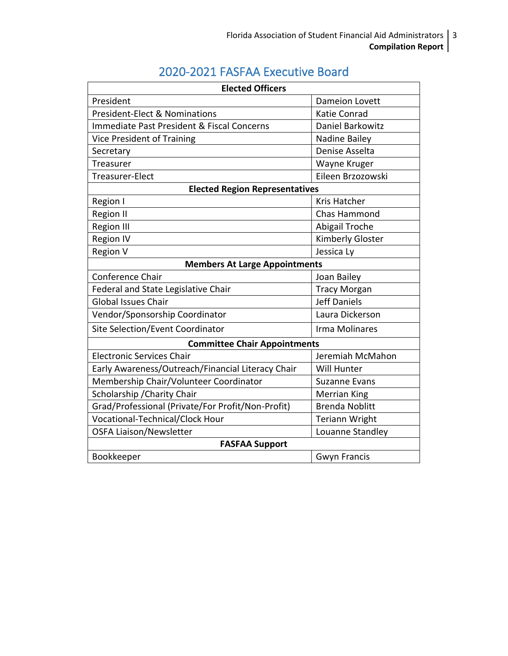# 2020-2021 FASFAA Executive Board

<span id="page-2-0"></span>

| <b>Elected Officers</b>                            |                       |  |  |  |
|----------------------------------------------------|-----------------------|--|--|--|
| President                                          | <b>Dameion Lovett</b> |  |  |  |
| President-Elect & Nominations                      | Katie Conrad          |  |  |  |
| Immediate Past President & Fiscal Concerns         | Daniel Barkowitz      |  |  |  |
| Vice President of Training                         | Nadine Bailey         |  |  |  |
| Secretary                                          | Denise Asselta        |  |  |  |
| Treasurer                                          | Wayne Kruger          |  |  |  |
| Treasurer-Elect                                    | Eileen Brzozowski     |  |  |  |
| <b>Elected Region Representatives</b>              |                       |  |  |  |
| Region I                                           | <b>Kris Hatcher</b>   |  |  |  |
| <b>Region II</b>                                   | <b>Chas Hammond</b>   |  |  |  |
| <b>Region III</b>                                  | Abigail Troche        |  |  |  |
| <b>Region IV</b>                                   | Kimberly Gloster      |  |  |  |
| Region V                                           | Jessica Ly            |  |  |  |
| <b>Members At Large Appointments</b>               |                       |  |  |  |
| Conference Chair                                   | Joan Bailey           |  |  |  |
| Federal and State Legislative Chair                | <b>Tracy Morgan</b>   |  |  |  |
| <b>Global Issues Chair</b>                         | <b>Jeff Daniels</b>   |  |  |  |
| Vendor/Sponsorship Coordinator                     | Laura Dickerson       |  |  |  |
| Site Selection/Event Coordinator<br>Irma Molinares |                       |  |  |  |
| <b>Committee Chair Appointments</b>                |                       |  |  |  |
| <b>Electronic Services Chair</b>                   | Jeremiah McMahon      |  |  |  |
| Early Awareness/Outreach/Financial Literacy Chair  | Will Hunter           |  |  |  |
| Membership Chair/Volunteer Coordinator             | <b>Suzanne Evans</b>  |  |  |  |
| Scholarship / Charity Chair                        | <b>Merrian King</b>   |  |  |  |
| Grad/Professional (Private/For Profit/Non-Profit)  | <b>Brenda Noblitt</b> |  |  |  |
| Vocational-Technical/Clock Hour                    | <b>Teriann Wright</b> |  |  |  |
| <b>OSFA Liaison/Newsletter</b>                     | Louanne Standley      |  |  |  |
| <b>FASFAA Support</b>                              |                       |  |  |  |
| Bookkeeper                                         | <b>Gwyn Francis</b>   |  |  |  |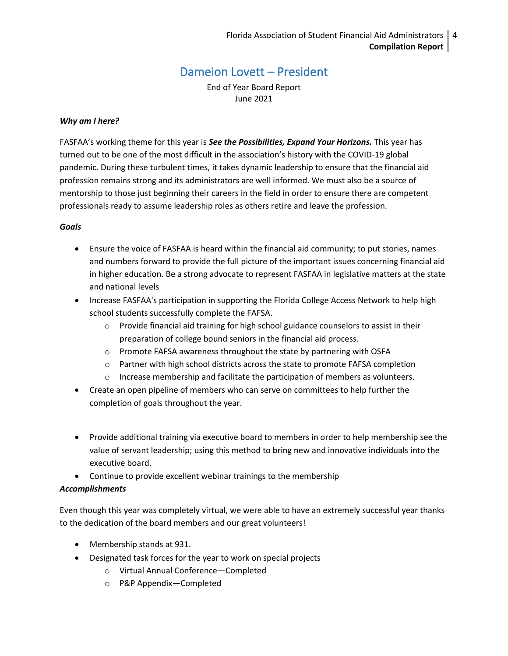### Dameion Lovett – President

End of Year Board Report June 2021

#### <span id="page-3-0"></span>*Why am I here?*

FASFAA's working theme for this year is *See the Possibilities, Expand Your Horizons.* This year has turned out to be one of the most difficult in the association's history with the COVID-19 global pandemic. During these turbulent times, it takes dynamic leadership to ensure that the financial aid profession remains strong and its administrators are well informed. We must also be a source of mentorship to those just beginning their careers in the field in order to ensure there are competent professionals ready to assume leadership roles as others retire and leave the profession.

#### *Goals*

- Ensure the voice of FASFAA is heard within the financial aid community; to put stories, names and numbers forward to provide the full picture of the important issues concerning financial aid in higher education. Be a strong advocate to represent FASFAA in legislative matters at the state and national levels
- Increase FASFAA's participation in supporting the Florida College Access Network to help high school students successfully complete the FAFSA.
	- o Provide financial aid training for high school guidance counselors to assist in their preparation of college bound seniors in the financial aid process.
	- o Promote FAFSA awareness throughout the state by partnering with OSFA
	- o Partner with high school districts across the state to promote FAFSA completion
	- o Increase membership and facilitate the participation of members as volunteers.
- Create an open pipeline of members who can serve on committees to help further the completion of goals throughout the year.
- Provide additional training via executive board to members in order to help membership see the value of servant leadership; using this method to bring new and innovative individuals into the executive board.
- Continue to provide excellent webinar trainings to the membership

#### *Accomplishments*

Even though this year was completely virtual, we were able to have an extremely successful year thanks to the dedication of the board members and our great volunteers!

- Membership stands at 931.
- Designated task forces for the year to work on special projects
	- o Virtual Annual Conference—Completed
	- o P&P Appendix—Completed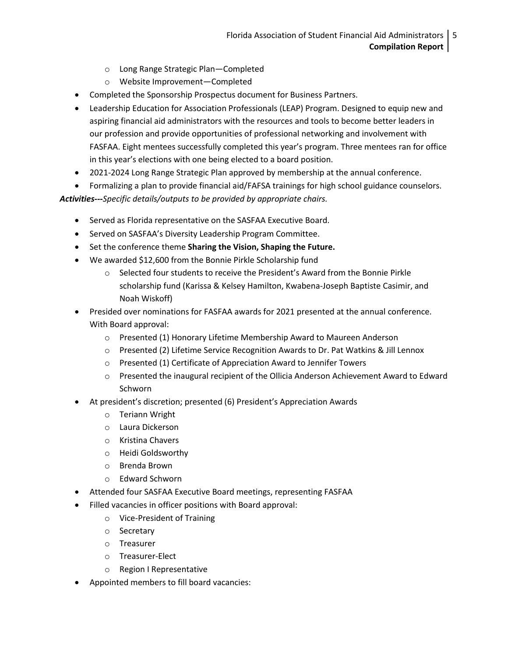- o Long Range Strategic Plan—Completed
- o Website Improvement—Completed
- Completed the Sponsorship Prospectus document for Business Partners.
- Leadership Education for Association Professionals (LEAP) Program. Designed to equip new and aspiring financial aid administrators with the resources and tools to become better leaders in our profession and provide opportunities of professional networking and involvement with FASFAA. Eight mentees successfully completed this year's program. Three mentees ran for office in this year's elections with one being elected to a board position.
- 2021-2024 Long Range Strategic Plan approved by membership at the annual conference.
- Formalizing a plan to provide financial aid/FAFSA trainings for high school guidance counselors.

*Activities---Specific details/outputs to be provided by appropriate chairs.*

- Served as Florida representative on the SASFAA Executive Board.
- Served on SASFAA's Diversity Leadership Program Committee.
- Set the conference theme **Sharing the Vision, Shaping the Future.**
- We awarded \$12,600 from the Bonnie Pirkle Scholarship fund
	- o Selected four students to receive the President's Award from the Bonnie Pirkle scholarship fund (Karissa & Kelsey Hamilton, Kwabena-Joseph Baptiste Casimir, and Noah Wiskoff)
- Presided over nominations for FASFAA awards for 2021 presented at the annual conference. With Board approval:
	- o Presented (1) Honorary Lifetime Membership Award to Maureen Anderson
	- o Presented (2) Lifetime Service Recognition Awards to Dr. Pat Watkins & Jill Lennox
	- o Presented (1) Certificate of Appreciation Award to Jennifer Towers
	- o Presented the inaugural recipient of the Ollicia Anderson Achievement Award to Edward Schworn
- At president's discretion; presented (6) President's Appreciation Awards
	- o Teriann Wright
	- o Laura Dickerson
	- o Kristina Chavers
	- o Heidi Goldsworthy
	- o Brenda Brown
	- o Edward Schworn
- Attended four SASFAA Executive Board meetings, representing FASFAA
- Filled vacancies in officer positions with Board approval:
	- o Vice-President of Training
	- o Secretary
	- o Treasurer
	- o Treasurer-Elect
	- o Region I Representative
- Appointed members to fill board vacancies: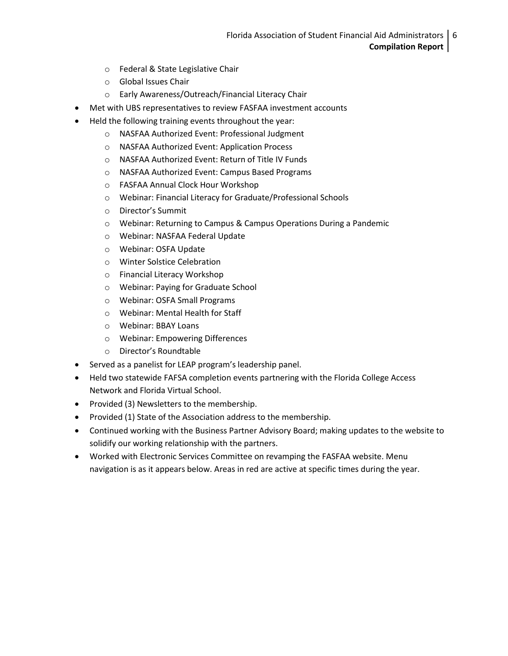- o Federal & State Legislative Chair
- o Global Issues Chair
- o Early Awareness/Outreach/Financial Literacy Chair
- Met with UBS representatives to review FASFAA investment accounts
	- Held the following training events throughout the year:
		- o NASFAA Authorized Event: Professional Judgment
		- o NASFAA Authorized Event: Application Process
		- o NASFAA Authorized Event: Return of Title IV Funds
		- o NASFAA Authorized Event: Campus Based Programs
		- o FASFAA Annual Clock Hour Workshop
		- o Webinar: Financial Literacy for Graduate/Professional Schools
		- o Director's Summit
		- o Webinar: Returning to Campus & Campus Operations During a Pandemic
		- o Webinar: NASFAA Federal Update
		- o Webinar: OSFA Update
		- o Winter Solstice Celebration
		- o Financial Literacy Workshop
		- o Webinar: Paying for Graduate School
		- o Webinar: OSFA Small Programs
		- o Webinar: Mental Health for Staff
		- o Webinar: BBAY Loans
		- o Webinar: Empowering Differences
		- o Director's Roundtable
- Served as a panelist for LEAP program's leadership panel.
- Held two statewide FAFSA completion events partnering with the Florida College Access Network and Florida Virtual School.
- Provided (3) Newsletters to the membership.
- Provided (1) State of the Association address to the membership.
- Continued working with the Business Partner Advisory Board; making updates to the website to solidify our working relationship with the partners.
- Worked with Electronic Services Committee on revamping the FASFAA website. Menu navigation is as it appears below. Areas in red are active at specific times during the year.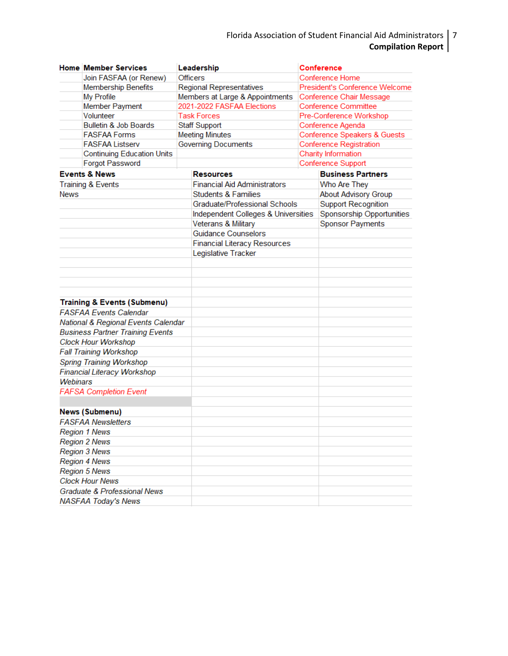|             | <b>Home Member Services</b>             | Leadership                          | Conference                     |
|-------------|-----------------------------------------|-------------------------------------|--------------------------------|
|             | Join FASFAA (or Renew)                  | <b>Officers</b>                     | Conference Home                |
|             | <b>Membership Benefits</b>              | <b>Regional Representatives</b>     | President's Conference Welcome |
|             | My Profile                              | Members at Large & Appointments     | Conference Chair Message       |
|             | Member Payment                          | 2021-2022 FASFAA Elections          | <b>Conference Committee</b>    |
|             | Volunteer                               | <b>Task Forces</b>                  | Pre-Conference Workshop        |
|             | Bulletin & Job Boards                   | <b>Staff Support</b>                | Conference Agenda              |
|             | <b>FASFAA Forms</b>                     | <b>Meeting Minutes</b>              | Conference Speakers & Guests   |
|             | <b>FASFAA Listserv</b>                  | <b>Governing Documents</b>          | <b>Conference Registration</b> |
|             | <b>Continuing Education Units</b>       |                                     | Charity Information            |
|             | <b>Forgot Password</b>                  |                                     | Conference Support             |
|             | <b>Events &amp; News</b>                | <b>Resources</b>                    | <b>Business Partners</b>       |
|             | <b>Training &amp; Events</b>            | <b>Financial Aid Administrators</b> | Who Are They                   |
| <b>News</b> |                                         | <b>Students &amp; Families</b>      | <b>About Advisory Group</b>    |
|             |                                         | Graduate/Professional Schools       | <b>Support Recognition</b>     |
|             |                                         | Independent Colleges & Universities | Sponsorship Opportunities      |
|             |                                         | Veterans & Military                 | <b>Sponsor Payments</b>        |
|             |                                         | <b>Guidance Counselors</b>          |                                |
|             |                                         | <b>Financial Literacy Resources</b> |                                |
|             |                                         | Legislative Tracker                 |                                |
|             |                                         |                                     |                                |
|             |                                         |                                     |                                |
|             |                                         |                                     |                                |
|             |                                         |                                     |                                |
|             | <b>Training &amp; Events (Submenu)</b>  |                                     |                                |
|             | <b>FASFAA Events Calendar</b>           |                                     |                                |
|             | National & Regional Events Calendar     |                                     |                                |
|             | <b>Business Partner Training Events</b> |                                     |                                |
|             | <b>Clock Hour Workshop</b>              |                                     |                                |
|             | <b>Fall Training Workshop</b>           |                                     |                                |
|             | <b>Spring Training Workshop</b>         |                                     |                                |
|             | <b>Financial Literacy Workshop</b>      |                                     |                                |
| Webinars    |                                         |                                     |                                |
|             | <b>FAFSA Completion Event</b>           |                                     |                                |
|             |                                         |                                     |                                |
|             | <b>News (Submenu)</b>                   |                                     |                                |
|             | <b>FASFAA Newsletters</b>               |                                     |                                |
|             | <b>Region 1 News</b>                    |                                     |                                |
|             | <b>Region 2 News</b>                    |                                     |                                |
|             | Region 3 News                           |                                     |                                |
|             | <b>Region 4 News</b>                    |                                     |                                |
|             | <b>Region 5 News</b>                    |                                     |                                |
|             | <b>Clock Hour News</b>                  |                                     |                                |
|             | <b>Graduate &amp; Professional News</b> |                                     |                                |
|             |                                         |                                     |                                |
|             | <b>NASFAA Today's News</b>              |                                     |                                |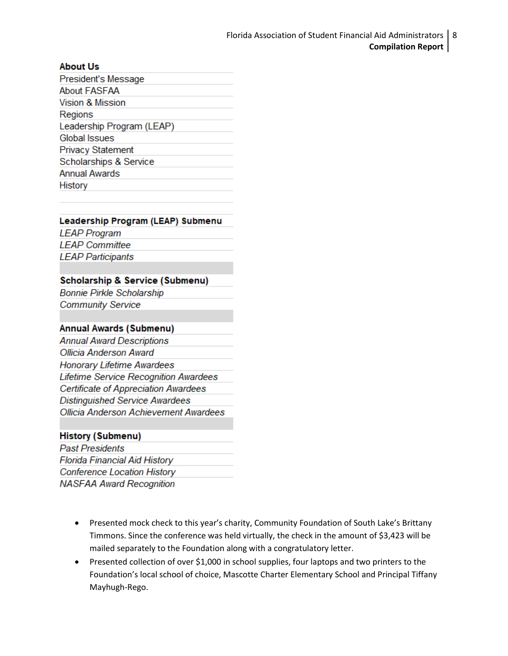#### **About Us**

| President's Message       |  |
|---------------------------|--|
| <b>About FASFAA</b>       |  |
| Vision & Mission          |  |
| Regions                   |  |
| Leadership Program (LEAP) |  |
| <b>Global Issues</b>      |  |
| <b>Privacy Statement</b>  |  |
| Scholarships & Service    |  |
| <b>Annual Awards</b>      |  |
| History                   |  |
|                           |  |

#### Leadership Program (LEAP) Submenu

**LEAP Program LEAP Committee LEAP Participants** 

#### Scholarship & Service (Submenu)

**Bonnie Pirkle Scholarship Community Service** 

#### Annual Awards (Submenu)

**Annual Award Descriptions Ollicia Anderson Award Honorary Lifetime Awardees Lifetime Service Recognition Awardees Certificate of Appreciation Awardees Distinguished Service Awardees Ollicia Anderson Achievement Awardees** 

#### **History (Submenu)**

**Past Presidents Florida Financial Aid History Conference Location History NASFAA Award Recognition** 

- Presented mock check to this year's charity, Community Foundation of South Lake's Brittany Timmons. Since the conference was held virtually, the check in the amount of \$3,423 will be mailed separately to the Foundation along with a congratulatory letter.
- Presented collection of over \$1,000 in school supplies, four laptops and two printers to the Foundation's local school of choice, Mascotte Charter Elementary School and Principal Tiffany Mayhugh-Rego.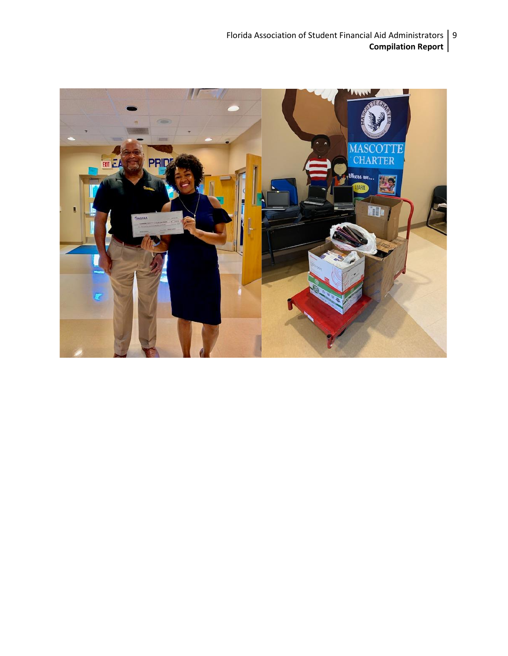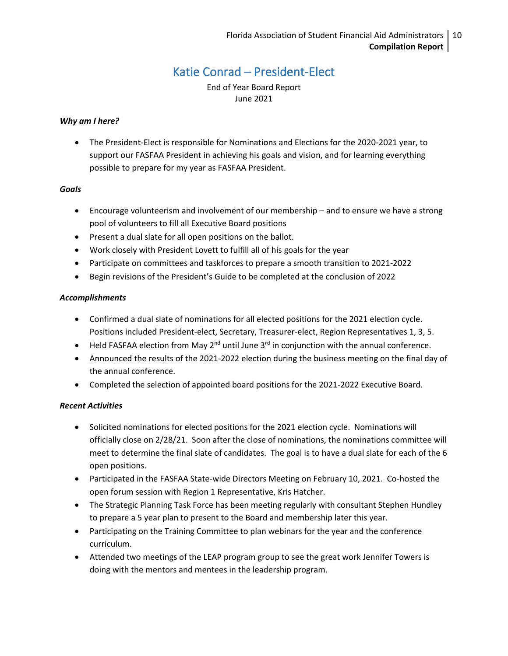## Katie Conrad – President-Elect

End of Year Board Report June 2021

#### <span id="page-9-0"></span>*Why am I here?*

• The President-Elect is responsible for Nominations and Elections for the 2020-2021 year, to support our FASFAA President in achieving his goals and vision, and for learning everything possible to prepare for my year as FASFAA President.

#### *Goals*

- Encourage volunteerism and involvement of our membership and to ensure we have a strong pool of volunteers to fill all Executive Board positions
- Present a dual slate for all open positions on the ballot.
- Work closely with President Lovett to fulfill all of his goals for the year
- Participate on committees and taskforces to prepare a smooth transition to 2021-2022
- Begin revisions of the President's Guide to be completed at the conclusion of 2022

#### *Accomplishments*

- Confirmed a dual slate of nominations for all elected positions for the 2021 election cycle. Positions included President-elect, Secretary, Treasurer-elect, Region Representatives 1, 3, 5.
- Held FASFAA election from May  $2^{nd}$  until June  $3^{rd}$  in conjunction with the annual conference.
- Announced the results of the 2021-2022 election during the business meeting on the final day of the annual conference.
- Completed the selection of appointed board positions for the 2021-2022 Executive Board.

- Solicited nominations for elected positions for the 2021 election cycle. Nominations will officially close on 2/28/21. Soon after the close of nominations, the nominations committee will meet to determine the final slate of candidates. The goal is to have a dual slate for each of the 6 open positions.
- Participated in the FASFAA State-wide Directors Meeting on February 10, 2021. Co-hosted the open forum session with Region 1 Representative, Kris Hatcher.
- The Strategic Planning Task Force has been meeting regularly with consultant Stephen Hundley to prepare a 5 year plan to present to the Board and membership later this year.
- Participating on the Training Committee to plan webinars for the year and the conference curriculum.
- Attended two meetings of the LEAP program group to see the great work Jennifer Towers is doing with the mentors and mentees in the leadership program.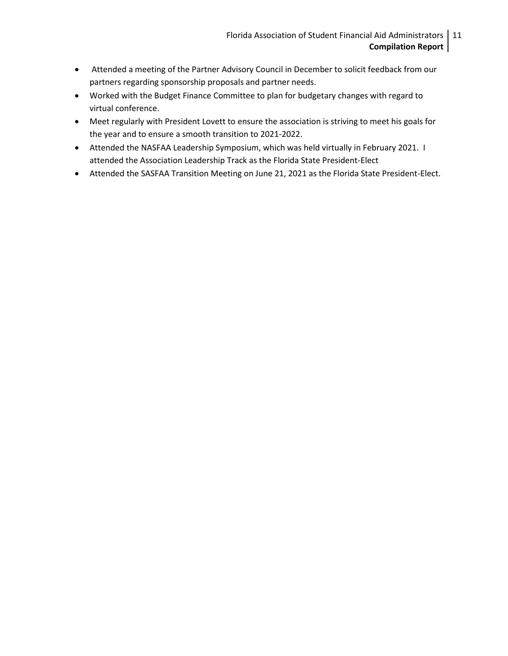- Attended a meeting of the Partner Advisory Council in December to solicit feedback from our partners regarding sponsorship proposals and partner needs.
- Worked with the Budget Finance Committee to plan for budgetary changes with regard to virtual conference.
- Meet regularly with President Lovett to ensure the association is striving to meet his goals for the year and to ensure a smooth transition to 2021-2022.
- Attended the NASFAA Leadership Symposium, which was held virtually in February 2021. I attended the Association Leadership Track as the Florida State President-Elect
- Attended the SASFAA Transition Meeting on June 21, 2021 as the Florida State President-Elect.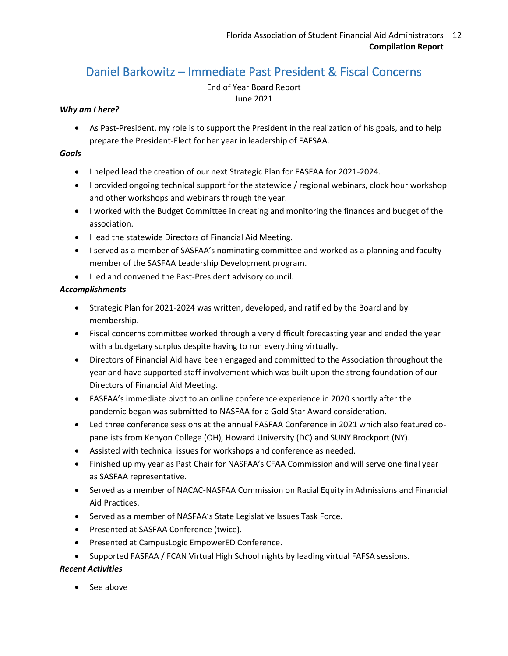# <span id="page-11-0"></span>Daniel Barkowitz – Immediate Past President & Fiscal Concerns

End of Year Board Report June 2021

#### *Why am I here?*

• As Past-President, my role is to support the President in the realization of his goals, and to help prepare the President-Elect for her year in leadership of FAFSAA.

#### *Goals*

- I helped lead the creation of our next Strategic Plan for FASFAA for 2021-2024.
- I provided ongoing technical support for the statewide / regional webinars, clock hour workshop and other workshops and webinars through the year.
- I worked with the Budget Committee in creating and monitoring the finances and budget of the association.
- I lead the statewide Directors of Financial Aid Meeting.
- I served as a member of SASFAA's nominating committee and worked as a planning and faculty member of the SASFAA Leadership Development program.
- I led and convened the Past-President advisory council.

#### *Accomplishments*

- Strategic Plan for 2021-2024 was written, developed, and ratified by the Board and by membership.
- Fiscal concerns committee worked through a very difficult forecasting year and ended the year with a budgetary surplus despite having to run everything virtually.
- Directors of Financial Aid have been engaged and committed to the Association throughout the year and have supported staff involvement which was built upon the strong foundation of our Directors of Financial Aid Meeting.
- FASFAA's immediate pivot to an online conference experience in 2020 shortly after the pandemic began was submitted to NASFAA for a Gold Star Award consideration.
- Led three conference sessions at the annual FASFAA Conference in 2021 which also featured copanelists from Kenyon College (OH), Howard University (DC) and SUNY Brockport (NY).
- Assisted with technical issues for workshops and conference as needed.
- Finished up my year as Past Chair for NASFAA's CFAA Commission and will serve one final year as SASFAA representative.
- Served as a member of NACAC-NASFAA Commission on Racial Equity in Admissions and Financial Aid Practices.
- Served as a member of NASFAA's State Legislative Issues Task Force.
- Presented at SASFAA Conference (twice).
- Presented at CampusLogic EmpowerED Conference.
- Supported FASFAA / FCAN Virtual High School nights by leading virtual FAFSA sessions.

#### *Recent Activities*

• See above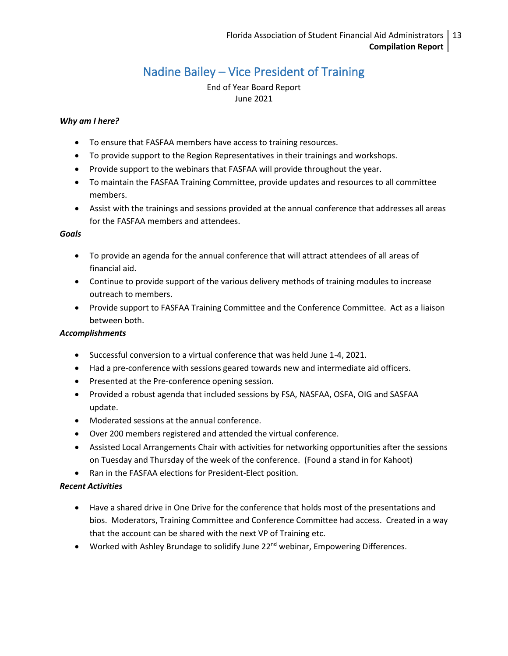# Nadine Bailey – Vice President of Training

End of Year Board Report June 2021

#### <span id="page-12-0"></span>*Why am I here?*

- To ensure that FASFAA members have access to training resources.
- To provide support to the Region Representatives in their trainings and workshops.
- Provide support to the webinars that FASFAA will provide throughout the year.
- To maintain the FASFAA Training Committee, provide updates and resources to all committee members.
- Assist with the trainings and sessions provided at the annual conference that addresses all areas for the FASFAA members and attendees.

#### *Goals*

- To provide an agenda for the annual conference that will attract attendees of all areas of financial aid.
- Continue to provide support of the various delivery methods of training modules to increase outreach to members.
- Provide support to FASFAA Training Committee and the Conference Committee. Act as a liaison between both.

#### *Accomplishments*

- Successful conversion to a virtual conference that was held June 1-4, 2021.
- Had a pre-conference with sessions geared towards new and intermediate aid officers.
- Presented at the Pre-conference opening session.
- Provided a robust agenda that included sessions by FSA, NASFAA, OSFA, OIG and SASFAA update.
- Moderated sessions at the annual conference.
- Over 200 members registered and attended the virtual conference.
- Assisted Local Arrangements Chair with activities for networking opportunities after the sessions on Tuesday and Thursday of the week of the conference. (Found a stand in for Kahoot)
- Ran in the FASFAA elections for President-Elect position.

- Have a shared drive in One Drive for the conference that holds most of the presentations and bios. Moderators, Training Committee and Conference Committee had access. Created in a way that the account can be shared with the next VP of Training etc.
- Worked with Ashley Brundage to solidify June 22<sup>nd</sup> webinar, Empowering Differences.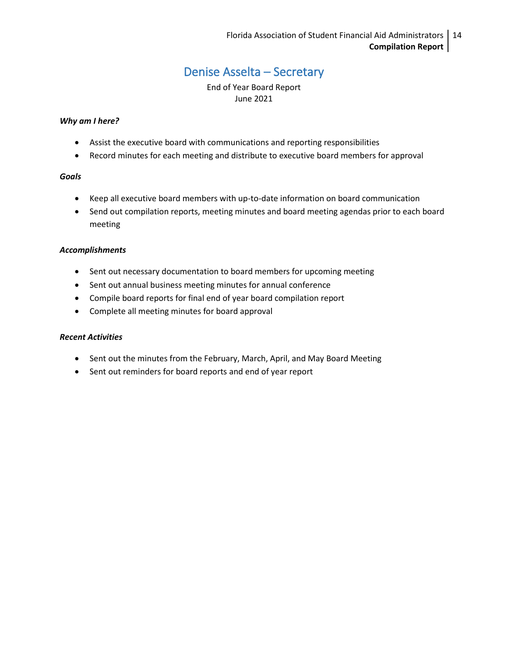### Denise Asselta – Secretary

End of Year Board Report June 2021

#### <span id="page-13-0"></span>*Why am I here?*

- Assist the executive board with communications and reporting responsibilities
- Record minutes for each meeting and distribute to executive board members for approval

#### *Goals*

- Keep all executive board members with up-to-date information on board communication
- Send out compilation reports, meeting minutes and board meeting agendas prior to each board meeting

#### *Accomplishments*

- Sent out necessary documentation to board members for upcoming meeting
- Sent out annual business meeting minutes for annual conference
- Compile board reports for final end of year board compilation report
- Complete all meeting minutes for board approval

- Sent out the minutes from the February, March, April, and May Board Meeting
- Sent out reminders for board reports and end of year report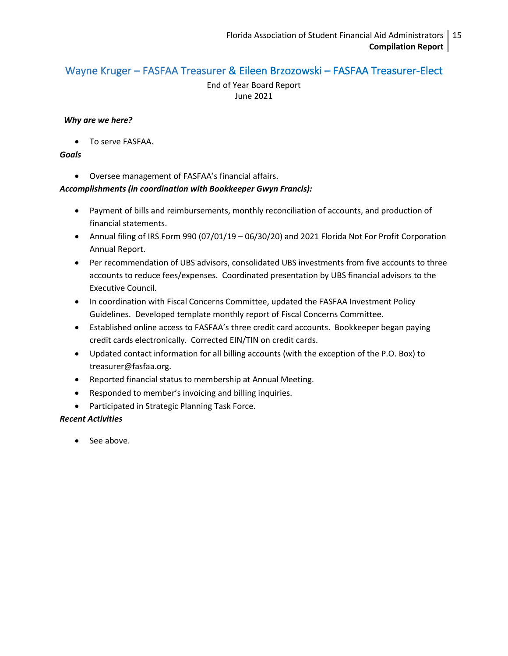#### <span id="page-14-0"></span>Wayne Kruger – FASFAA Treasurer & Eileen Brzozowski – FASFAA Treasurer-Elect

End of Year Board Report June 2021

#### *Why are we here?*

• To serve FASFAA.

#### *Goals*

• Oversee management of FASFAA's financial affairs.

#### *Accomplishments (in coordination with Bookkeeper Gwyn Francis):*

- Payment of bills and reimbursements, monthly reconciliation of accounts, and production of financial statements.
- Annual filing of IRS Form 990 (07/01/19 06/30/20) and 2021 Florida Not For Profit Corporation Annual Report.
- Per recommendation of UBS advisors, consolidated UBS investments from five accounts to three accounts to reduce fees/expenses. Coordinated presentation by UBS financial advisors to the Executive Council.
- In coordination with Fiscal Concerns Committee, updated the FASFAA Investment Policy Guidelines. Developed template monthly report of Fiscal Concerns Committee.
- Established online access to FASFAA's three credit card accounts. Bookkeeper began paying credit cards electronically. Corrected EIN/TIN on credit cards.
- Updated contact information for all billing accounts (with the exception of the P.O. Box) to treasurer@fasfaa.org.
- Reported financial status to membership at Annual Meeting.
- Responded to member's invoicing and billing inquiries.
- Participated in Strategic Planning Task Force.

#### *Recent Activities*

• See above.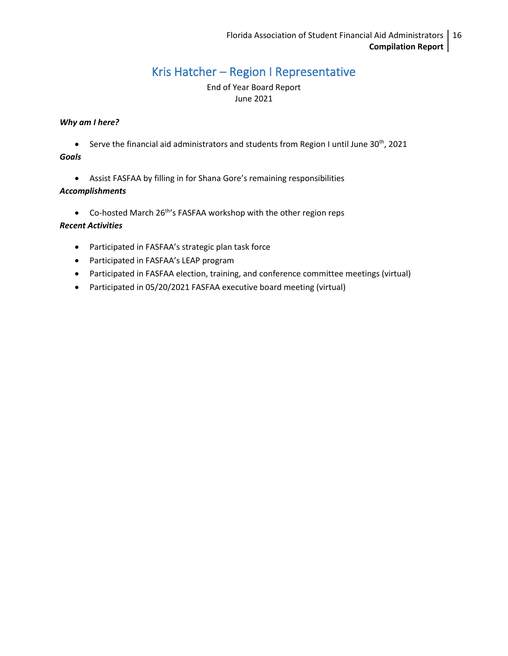## Kris Hatcher – Region I Representative

End of Year Board Report June 2021

#### <span id="page-15-0"></span>*Why am I here?*

• Serve the financial aid administrators and students from Region I until June 30<sup>th</sup>, 2021 *Goals* 

• Assist FASFAA by filling in for Shana Gore's remaining responsibilities

#### *Accomplishments*

• Co-hosted March 26<sup>th</sup>'s FASFAA workshop with the other region reps

- Participated in FASFAA's strategic plan task force
- Participated in FASFAA's LEAP program
- Participated in FASFAA election, training, and conference committee meetings (virtual)
- Participated in 05/20/2021 FASFAA executive board meeting (virtual)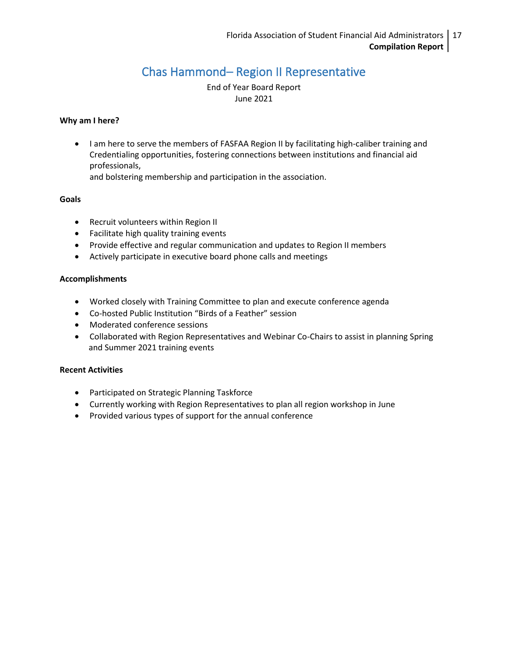## Chas Hammond– Region II Representative

End of Year Board Report June 2021

#### <span id="page-16-0"></span>**Why am I here?**

• I am here to serve the members of FASFAA Region II by facilitating high-caliber training and Credentialing opportunities, fostering connections between institutions and financial aid professionals,

and bolstering membership and participation in the association.

#### **Goals**

- Recruit volunteers within Region II
- Facilitate high quality training events
- Provide effective and regular communication and updates to Region II members
- Actively participate in executive board phone calls and meetings

#### **Accomplishments**

- Worked closely with Training Committee to plan and execute conference agenda
- Co-hosted Public Institution "Birds of a Feather" session
- Moderated conference sessions
- Collaborated with Region Representatives and Webinar Co-Chairs to assist in planning Spring and Summer 2021 training events

- Participated on Strategic Planning Taskforce
- Currently working with Region Representatives to plan all region workshop in June
- Provided various types of support for the annual conference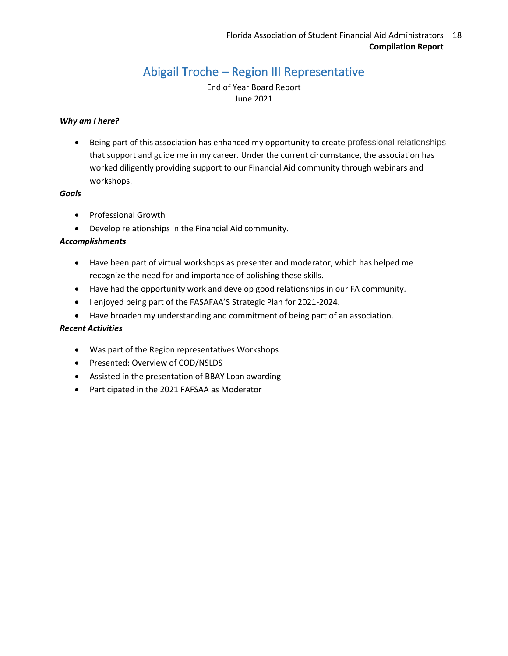## Abigail Troche – Region III Representative

End of Year Board Report June 2021

#### <span id="page-17-0"></span>*Why am I here?*

• Being part of this association has enhanced my opportunity to create professional relationships that support and guide me in my career. Under the current circumstance, the association has worked diligently providing support to our Financial Aid community through webinars and workshops.

#### *Goals*

- Professional Growth
- Develop relationships in the Financial Aid community.

#### *Accomplishments*

- Have been part of virtual workshops as presenter and moderator, which has helped me recognize the need for and importance of polishing these skills.
- Have had the opportunity work and develop good relationships in our FA community.
- I enjoyed being part of the FASAFAA'S Strategic Plan for 2021-2024.
- Have broaden my understanding and commitment of being part of an association.

- Was part of the Region representatives Workshops
- Presented: Overview of COD/NSLDS
- Assisted in the presentation of BBAY Loan awarding
- Participated in the 2021 FAFSAA as Moderator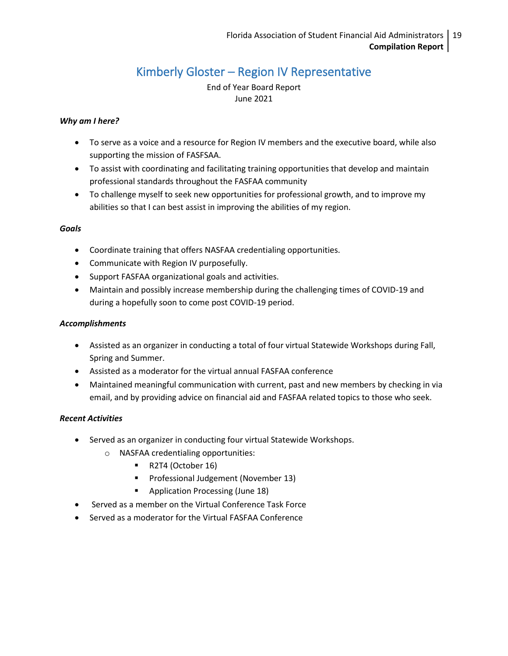# Kimberly Gloster – Region IV Representative

#### End of Year Board Report June 2021

#### <span id="page-18-0"></span>*Why am I here?*

- To serve as a voice and a resource for Region IV members and the executive board, while also supporting the mission of FASFSAA.
- To assist with coordinating and facilitating training opportunities that develop and maintain professional standards throughout the FASFAA community
- To challenge myself to seek new opportunities for professional growth, and to improve my abilities so that I can best assist in improving the abilities of my region.

#### *Goals*

- Coordinate training that offers NASFAA credentialing opportunities.
- Communicate with Region IV purposefully.
- Support FASFAA organizational goals and activities.
- Maintain and possibly increase membership during the challenging times of COVID-19 and during a hopefully soon to come post COVID-19 period.

#### *Accomplishments*

- Assisted as an organizer in conducting a total of four virtual Statewide Workshops during Fall, Spring and Summer.
- Assisted as a moderator for the virtual annual FASFAA conference
- Maintained meaningful communication with current, past and new members by checking in via email, and by providing advice on financial aid and FASFAA related topics to those who seek.

- Served as an organizer in conducting four virtual Statewide Workshops.
	- o NASFAA credentialing opportunities:
		- R2T4 (October 16)
		- Professional Judgement (November 13)
		- Application Processing (June 18)
- Served as a member on the Virtual Conference Task Force
- Served as a moderator for the Virtual FASFAA Conference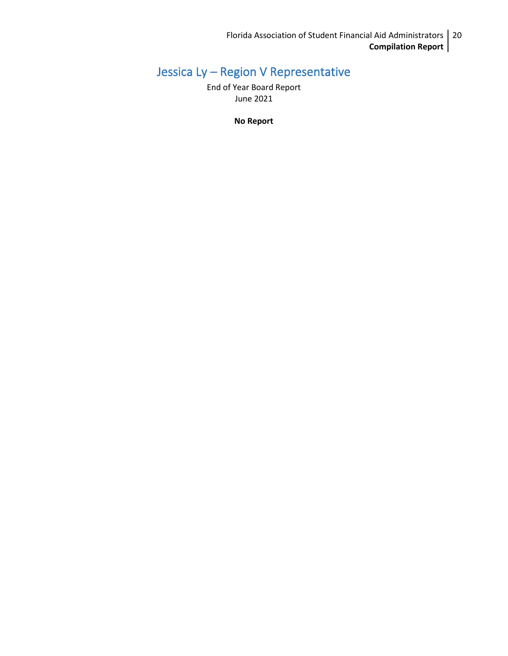# <span id="page-19-0"></span>Jessica Ly – Region V Representative

End of Year Board Report June 2021

**No Report**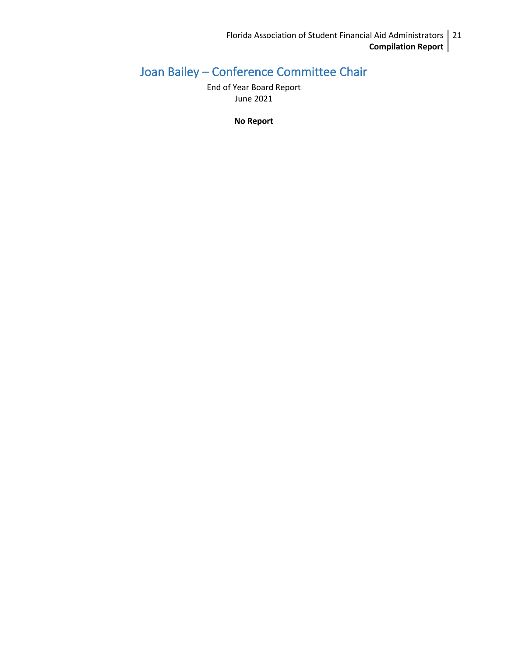# <span id="page-20-0"></span>Joan Bailey – Conference Committee Chair

End of Year Board Report June 2021

**No Report**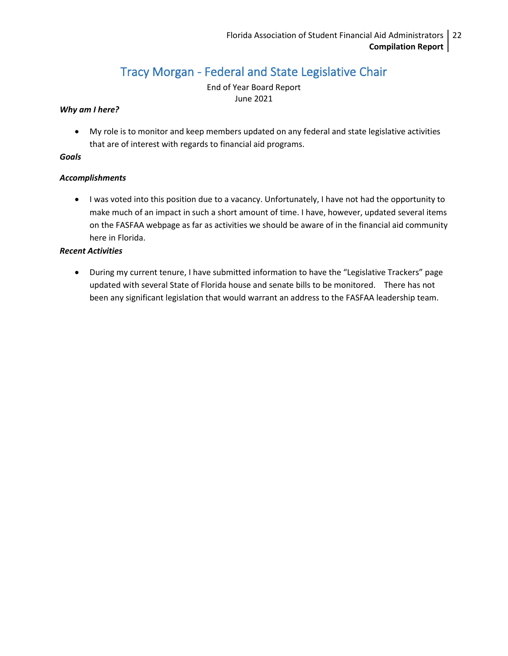# Tracy Morgan - Federal and State Legislative Chair

End of Year Board Report June 2021

#### <span id="page-21-0"></span>*Why am I here?*

• My role is to monitor and keep members updated on any federal and state legislative activities that are of interest with regards to financial aid programs.

#### *Goals*

#### *Accomplishments*

• I was voted into this position due to a vacancy. Unfortunately, I have not had the opportunity to make much of an impact in such a short amount of time. I have, however, updated several items on the FASFAA webpage as far as activities we should be aware of in the financial aid community here in Florida.

#### *Recent Activities*

• During my current tenure, I have submitted information to have the "Legislative Trackers" page updated with several State of Florida house and senate bills to be monitored. There has not been any significant legislation that would warrant an address to the FASFAA leadership team.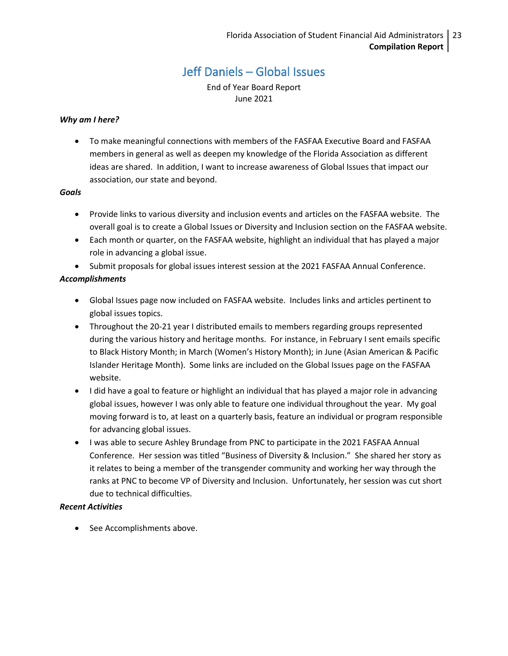### Jeff Daniels – Global Issues

End of Year Board Report June 2021

#### <span id="page-22-0"></span>*Why am I here?*

• To make meaningful connections with members of the FASFAA Executive Board and FASFAA members in general as well as deepen my knowledge of the Florida Association as different ideas are shared. In addition, I want to increase awareness of Global Issues that impact our association, our state and beyond.

#### *Goals*

- Provide links to various diversity and inclusion events and articles on the FASFAA website. The overall goal is to create a Global Issues or Diversity and Inclusion section on the FASFAA website.
- Each month or quarter, on the FASFAA website, highlight an individual that has played a major role in advancing a global issue.

• Submit proposals for global issues interest session at the 2021 FASFAA Annual Conference.

#### *Accomplishments*

- Global Issues page now included on FASFAA website. Includes links and articles pertinent to global issues topics.
- Throughout the 20-21 year I distributed emails to members regarding groups represented during the various history and heritage months. For instance, in February I sent emails specific to Black History Month; in March (Women's History Month); in June (Asian American & Pacific Islander Heritage Month). Some links are included on the Global Issues page on the FASFAA website.
- I did have a goal to feature or highlight an individual that has played a major role in advancing global issues, however I was only able to feature one individual throughout the year. My goal moving forward is to, at least on a quarterly basis, feature an individual or program responsible for advancing global issues.
- I was able to secure Ashley Brundage from PNC to participate in the 2021 FASFAA Annual Conference. Her session was titled "Business of Diversity & Inclusion." She shared her story as it relates to being a member of the transgender community and working her way through the ranks at PNC to become VP of Diversity and Inclusion. Unfortunately, her session was cut short due to technical difficulties.

#### *Recent Activities*

• See Accomplishments above.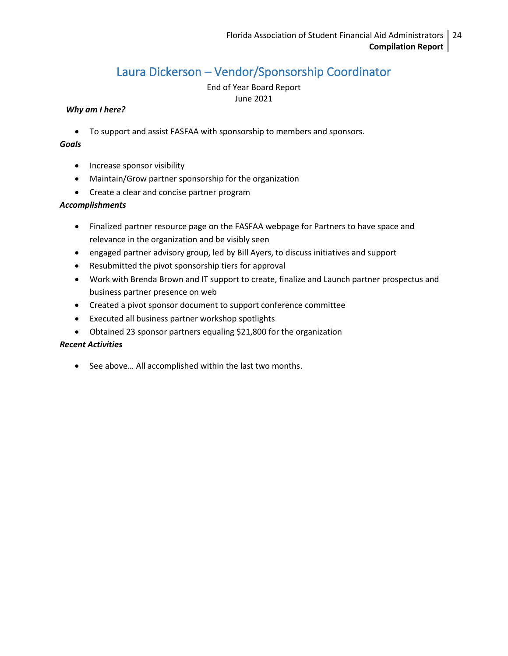# Laura Dickerson – Vendor/Sponsorship Coordinator

End of Year Board Report June 2021

#### <span id="page-23-0"></span> *Why am I here?*

• To support and assist FASFAA with sponsorship to members and sponsors.

#### *Goals*

- Increase sponsor visibility
- Maintain/Grow partner sponsorship for the organization
- Create a clear and concise partner program

#### *Accomplishments*

- Finalized partner resource page on the FASFAA webpage for Partners to have space and relevance in the organization and be visibly seen
- engaged partner advisory group, led by Bill Ayers, to discuss initiatives and support
- Resubmitted the pivot sponsorship tiers for approval
- Work with Brenda Brown and IT support to create, finalize and Launch partner prospectus and business partner presence on web
- Created a pivot sponsor document to support conference committee
- Executed all business partner workshop spotlights
- Obtained 23 sponsor partners equaling \$21,800 for the organization

#### *Recent Activities*

• See above… All accomplished within the last two months.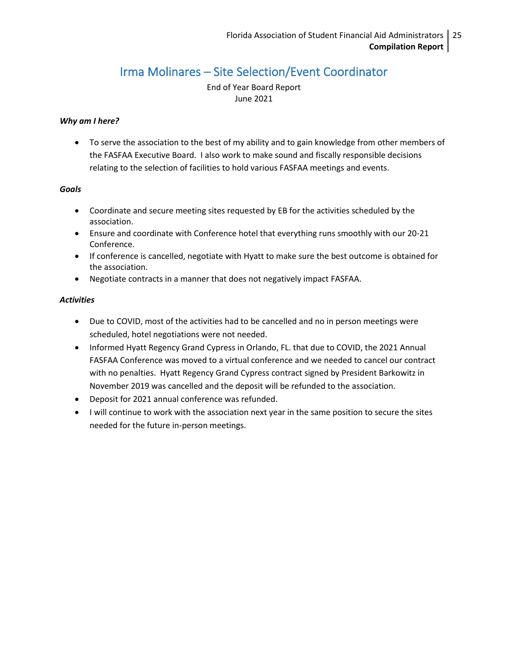## Irma Molinares – Site Selection/Event Coordinator

End of Year Board Report June 2021

#### <span id="page-24-0"></span>*Why am I here?*

• To serve the association to the best of my ability and to gain knowledge from other members of the FASFAA Executive Board. I also work to make sound and fiscally responsible decisions relating to the selection of facilities to hold various FASFAA meetings and events.

#### *Goals*

- Coordinate and secure meeting sites requested by EB for the activities scheduled by the association.
- Ensure and coordinate with Conference hotel that everything runs smoothly with our 20-21 Conference.
- If conference is cancelled, negotiate with Hyatt to make sure the best outcome is obtained for the association.
- Negotiate contracts in a manner that does not negatively impact FASFAA.

#### *Activities*

- Due to COVID, most of the activities had to be cancelled and no in person meetings were scheduled, hotel negotiations were not needed.
- Informed Hyatt Regency Grand Cypress in Orlando, FL. that due to COVID, the 2021 Annual FASFAA Conference was moved to a virtual conference and we needed to cancel our contract with no penalties. Hyatt Regency Grand Cypress contract signed by President Barkowitz in November 2019 was cancelled and the deposit will be refunded to the association.
- Deposit for 2021 annual conference was refunded.
- I will continue to work with the association next year in the same position to secure the sites needed for the future in-person meetings.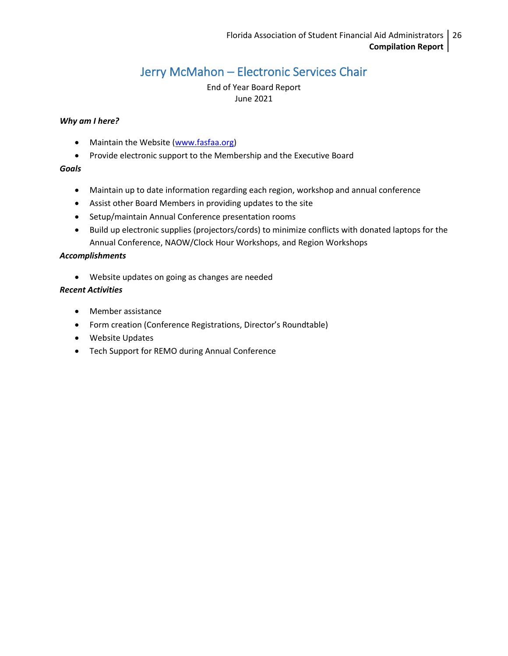## Jerry McMahon – Electronic Services Chair

End of Year Board Report June 2021

#### <span id="page-25-0"></span>*Why am I here?*

- Maintain the Website [\(www.fasfaa.org\)](http://www.fasfaa.org/)
- Provide electronic support to the Membership and the Executive Board

#### *Goals*

- Maintain up to date information regarding each region, workshop and annual conference
- Assist other Board Members in providing updates to the site
- Setup/maintain Annual Conference presentation rooms
- Build up electronic supplies (projectors/cords) to minimize conflicts with donated laptops for the Annual Conference, NAOW/Clock Hour Workshops, and Region Workshops

#### *Accomplishments*

• Website updates on going as changes are needed

- Member assistance
- Form creation (Conference Registrations, Director's Roundtable)
- Website Updates
- Tech Support for REMO during Annual Conference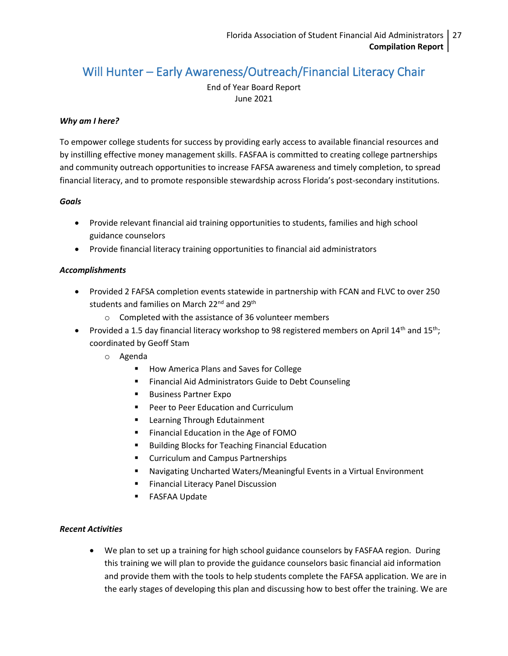### <span id="page-26-0"></span>Will Hunter – Early Awareness/Outreach/Financial Literacy Chair

End of Year Board Report June 2021

#### *Why am I here?*

To empower college students for success by providing early access to available financial resources and by instilling effective money management skills. FASFAA is committed to creating college partnerships and community outreach opportunities to increase FAFSA awareness and timely completion, to spread financial literacy, and to promote responsible stewardship across Florida's post-secondary institutions.

#### *Goals*

- Provide relevant financial aid training opportunities to students, families and high school guidance counselors
- Provide financial literacy training opportunities to financial aid administrators

#### *Accomplishments*

- Provided 2 FAFSA completion events statewide in partnership with FCAN and FLVC to over 250 students and families on March 22<sup>nd</sup> and 29<sup>th</sup>
	- o Completed with the assistance of 36 volunteer members
- Provided a 1.5 day financial literacy workshop to 98 registered members on April 14<sup>th</sup> and 15<sup>th</sup>; coordinated by Geoff Stam
	- o Agenda
		- How America Plans and Saves for College
		- Financial Aid Administrators Guide to Debt Counseling
		- Business Partner Expo
		- Peer to Peer Education and Curriculum
		- Learning Through Edutainment
		- **EXECTE:** Financial Education in the Age of FOMO
		- Building Blocks for Teaching Financial Education
		- Curriculum and Campus Partnerships
		- Navigating Uncharted Waters/Meaningful Events in a Virtual Environment
		- **Financial Literacy Panel Discussion**
		- **■** FASFAA Update

#### *Recent Activities*

• We plan to set up a training for high school guidance counselors by FASFAA region. During this training we will plan to provide the guidance counselors basic financial aid information and provide them with the tools to help students complete the FAFSA application. We are in the early stages of developing this plan and discussing how to best offer the training. We are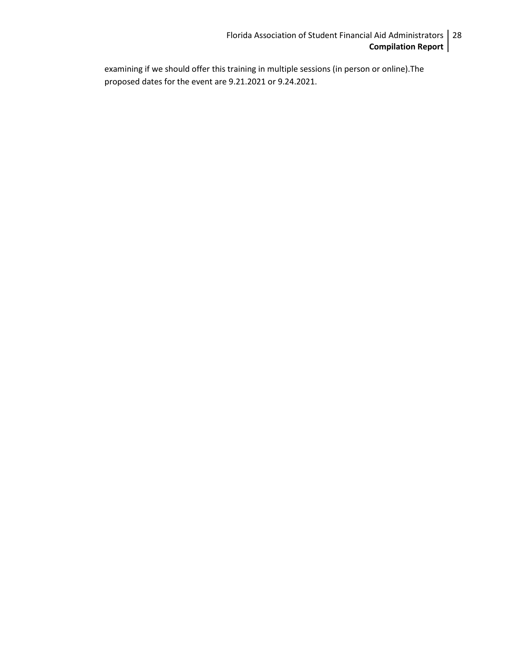#### Florida Association of Student Financial Aid Administrators 28 **Compilation Report**

examining if we should offer this training in multiple sessions (in person or online).The proposed dates for the event are 9.21.2021 or 9.24.2021.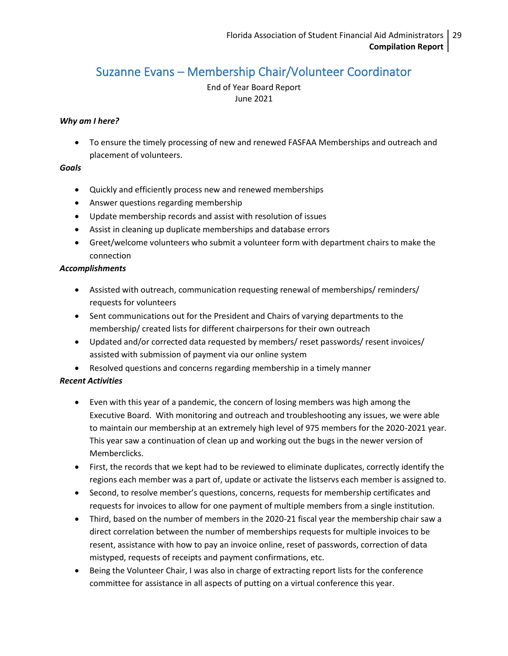### <span id="page-28-0"></span>Suzanne Evans – Membership Chair/Volunteer Coordinator

End of Year Board Report June 2021

#### *Why am I here?*

• To ensure the timely processing of new and renewed FASFAA Memberships and outreach and placement of volunteers.

#### *Goals*

- Quickly and efficiently process new and renewed memberships
- Answer questions regarding membership
- Update membership records and assist with resolution of issues
- Assist in cleaning up duplicate memberships and database errors
- Greet/welcome volunteers who submit a volunteer form with department chairs to make the connection

#### *Accomplishments*

- Assisted with outreach, communication requesting renewal of memberships/ reminders/ requests for volunteers
- Sent communications out for the President and Chairs of varying departments to the membership/ created lists for different chairpersons for their own outreach
- Updated and/or corrected data requested by members/ reset passwords/ resent invoices/ assisted with submission of payment via our online system
- Resolved questions and concerns regarding membership in a timely manner

- Even with this year of a pandemic, the concern of losing members was high among the Executive Board. With monitoring and outreach and troubleshooting any issues, we were able to maintain our membership at an extremely high level of 975 members for the 2020-2021 year. This year saw a continuation of clean up and working out the bugs in the newer version of Memberclicks.
- First, the records that we kept had to be reviewed to eliminate duplicates, correctly identify the regions each member was a part of, update or activate the listservs each member is assigned to.
- Second, to resolve member's questions, concerns, requests for membership certificates and requests for invoices to allow for one payment of multiple members from a single institution.
- Third, based on the number of members in the 2020-21 fiscal year the membership chair saw a direct correlation between the number of memberships requests for multiple invoices to be resent, assistance with how to pay an invoice online, reset of passwords, correction of data mistyped, requests of receipts and payment confirmations, etc.
- Being the Volunteer Chair, I was also in charge of extracting report lists for the conference committee for assistance in all aspects of putting on a virtual conference this year.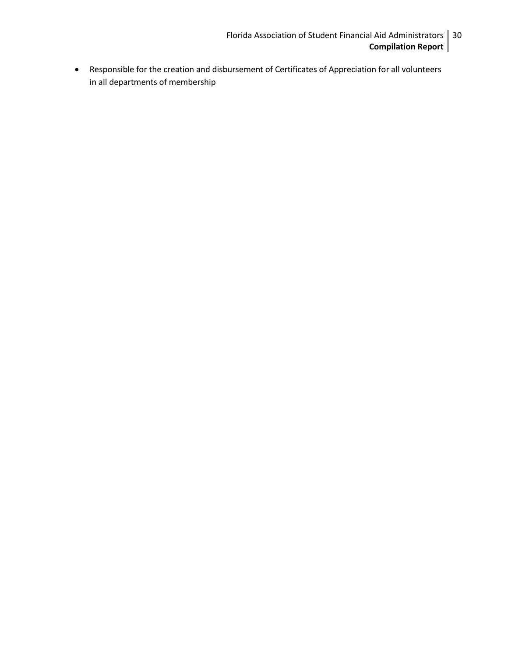• Responsible for the creation and disbursement of Certificates of Appreciation for all volunteers in all departments of membership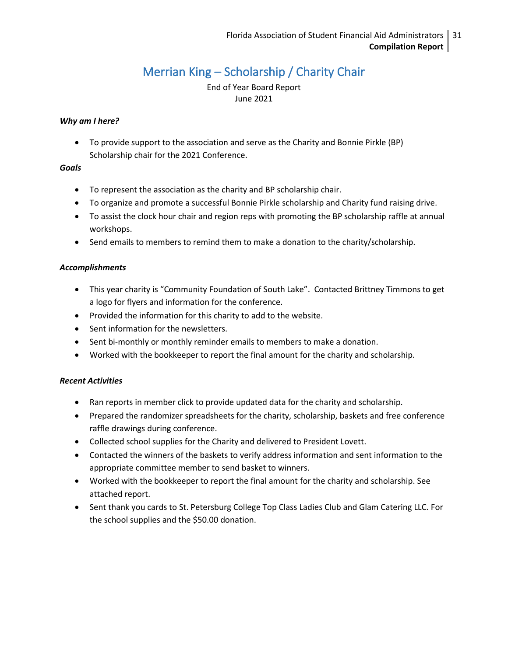# Merrian King – Scholarship / Charity Chair

End of Year Board Report June 2021

#### <span id="page-30-0"></span>*Why am I here?*

• To provide support to the association and serve as the Charity and Bonnie Pirkle (BP) Scholarship chair for the 2021 Conference.

#### *Goals*

- To represent the association as the charity and BP scholarship chair.
- To organize and promote a successful Bonnie Pirkle scholarship and Charity fund raising drive.
- To assist the clock hour chair and region reps with promoting the BP scholarship raffle at annual workshops.
- Send emails to members to remind them to make a donation to the charity/scholarship.

#### *Accomplishments*

- This year charity is "Community Foundation of South Lake". Contacted Brittney Timmons to get a logo for flyers and information for the conference.
- Provided the information for this charity to add to the website.
- Sent information for the newsletters.
- Sent bi-monthly or monthly reminder emails to members to make a donation.
- Worked with the bookkeeper to report the final amount for the charity and scholarship.

- Ran reports in member click to provide updated data for the charity and scholarship.
- Prepared the randomizer spreadsheets for the charity, scholarship, baskets and free conference raffle drawings during conference.
- Collected school supplies for the Charity and delivered to President Lovett.
- Contacted the winners of the baskets to verify address information and sent information to the appropriate committee member to send basket to winners.
- Worked with the bookkeeper to report the final amount for the charity and scholarship. See attached report.
- Sent thank you cards to St. Petersburg College Top Class Ladies Club and Glam Catering LLC. For the school supplies and the \$50.00 donation.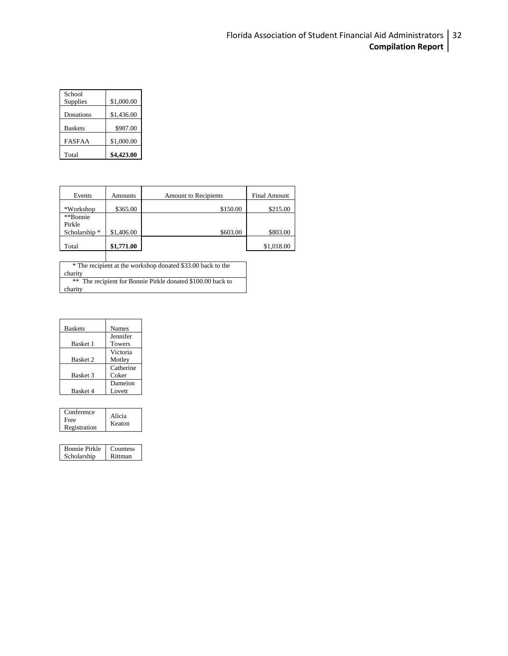| School<br>Supplies | \$1,000.00 |
|--------------------|------------|
| Donations          | \$1,436.00 |
| <b>Baskets</b>     | \$987.00   |
| <b>FASFAA</b>      | \$1,000.00 |
| Total              | \$4,423.00 |

| Amounts    | <b>Amount to Recipients</b> | <b>Final Amount</b> |
|------------|-----------------------------|---------------------|
| \$365.00   | \$150.00                    | \$215.00            |
|            |                             |                     |
|            |                             |                     |
| \$1,406.00 | \$603.00                    | \$803.00            |
| \$1,771.00 |                             | \$1,018.00          |
|            |                             |                     |

| * The recipient at the workshop donated \$33.00 back to the |
|-------------------------------------------------------------|
| charity                                                     |
| ** The recipient for Bonnie Pirkle donated \$100.00 back to |
| charity                                                     |

| <b>Baskets</b> | Names         |
|----------------|---------------|
|                | Jennifer      |
| Basket 1       | <b>Towers</b> |
|                | Victoria      |
| Basket 2       | Motley        |
|                | Catherine     |
| Basket 3       | Coker         |
|                | Dameion       |
| Basket 4       | Lovett        |

| Conference<br>Free<br>Registration | Alicia<br>Keaton |
|------------------------------------|------------------|
|------------------------------------|------------------|

| <b>Bonnie Pirkle</b> | Countess |
|----------------------|----------|
| Scholarship          | Rittman  |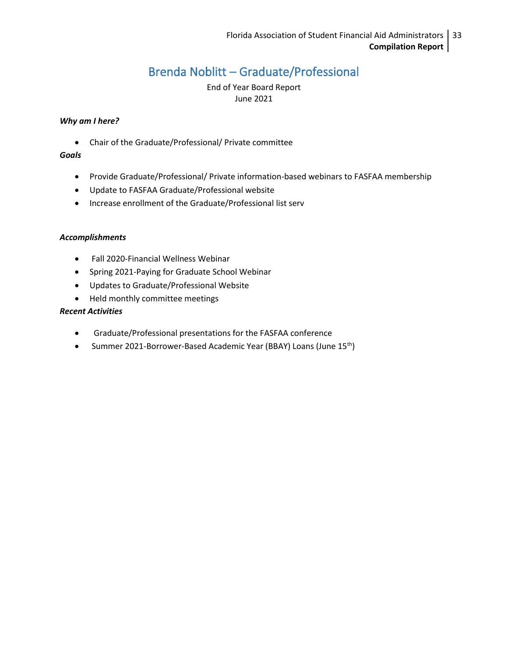## Brenda Noblitt – Graduate/Professional

#### End of Year Board Report June 2021

#### <span id="page-32-0"></span>*Why am I here?*

• Chair of the Graduate/Professional/ Private committee

#### *Goals*

- Provide Graduate/Professional/ Private information-based webinars to FASFAA membership
- Update to FASFAA Graduate/Professional website
- Increase enrollment of the Graduate/Professional list serv

#### *Accomplishments*

- Fall 2020-Financial Wellness Webinar
- Spring 2021-Paying for Graduate School Webinar
- Updates to Graduate/Professional Website
- Held monthly committee meetings

- Graduate/Professional presentations for the FASFAA conference
- Summer 2021-Borrower-Based Academic Year (BBAY) Loans (June 15<sup>th</sup>)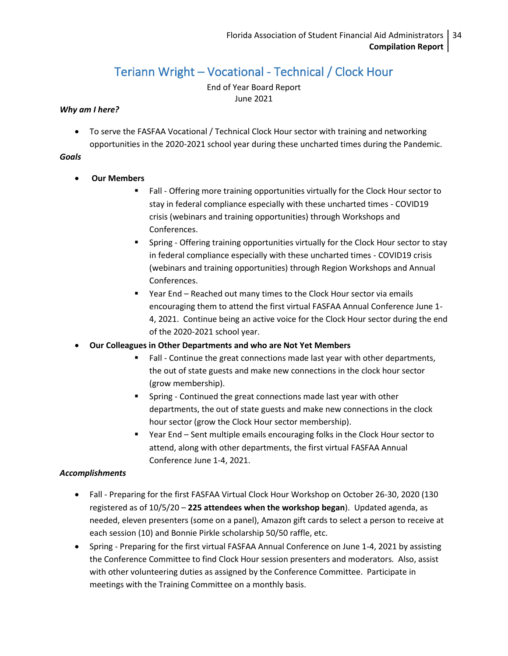# Teriann Wright – Vocational - Technical / Clock Hour

End of Year Board Report June 2021

#### <span id="page-33-0"></span>*Why am I here?*

• To serve the FASFAA Vocational / Technical Clock Hour sector with training and networking opportunities in the 2020-2021 school year during these uncharted times during the Pandemic.

#### *Goals*

- **Our Members**
	- Fall Offering more training opportunities virtually for the Clock Hour sector to stay in federal compliance especially with these uncharted times - COVID19 crisis (webinars and training opportunities) through Workshops and Conferences.
	- Spring Offering training opportunities virtually for the Clock Hour sector to stay in federal compliance especially with these uncharted times - COVID19 crisis (webinars and training opportunities) through Region Workshops and Annual Conferences.
	- Year End Reached out many times to the Clock Hour sector via emails encouraging them to attend the first virtual FASFAA Annual Conference June 1- 4, 2021. Continue being an active voice for the Clock Hour sector during the end of the 2020-2021 school year.

#### • **Our Colleagues in Other Departments and who are Not Yet Members**

- Fall Continue the great connections made last year with other departments, the out of state guests and make new connections in the clock hour sector (grow membership).
- Spring Continued the great connections made last year with other departments, the out of state guests and make new connections in the clock hour sector (grow the Clock Hour sector membership).
- Year End Sent multiple emails encouraging folks in the Clock Hour sector to attend, along with other departments, the first virtual FASFAA Annual Conference June 1-4, 2021.

#### *Accomplishments*

- Fall Preparing for the first FASFAA Virtual Clock Hour Workshop on October 26-30, 2020 (130 registered as of 10/5/20 – **225 attendees when the workshop began**).Updated agenda, as needed, eleven presenters (some on a panel), Amazon gift cards to select a person to receive at each session (10) and Bonnie Pirkle scholarship 50/50 raffle, etc.
- Spring Preparing for the first virtual FASFAA Annual Conference on June 1-4, 2021 by assisting the Conference Committee to find Clock Hour session presenters and moderators. Also, assist with other volunteering duties as assigned by the Conference Committee. Participate in meetings with the Training Committee on a monthly basis.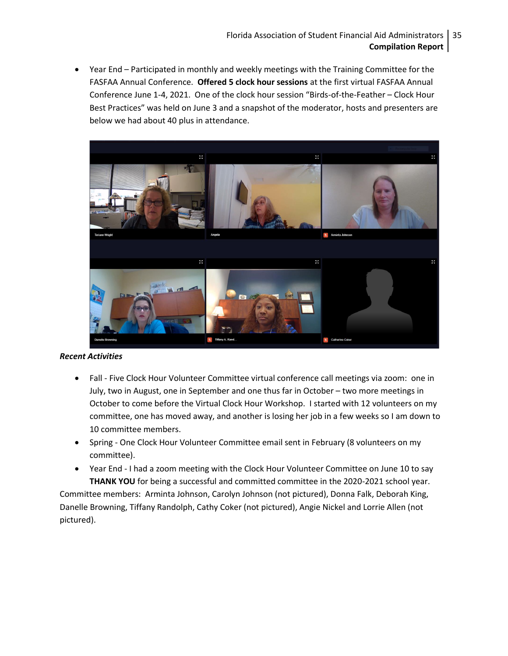• Year End – Participated in monthly and weekly meetings with the Training Committee for the FASFAA Annual Conference. **Offered 5 clock hour sessions** at the first virtual FASFAA Annual Conference June 1-4, 2021. One of the clock hour session "Birds-of-the-Feather – Clock Hour Best Practices" was held on June 3 and a snapshot of the moderator, hosts and presenters are below we had about 40 plus in attendance.



#### *Recent Activities*

- Fall Five Clock Hour Volunteer Committee virtual conference call meetings via zoom: one in July, two in August, one in September and one thus far in October – two more meetings in October to come before the Virtual Clock Hour Workshop. I started with 12 volunteers on my committee, one has moved away, and another is losing her job in a few weeks so I am down to 10 committee members.
- Spring One Clock Hour Volunteer Committee email sent in February (8 volunteers on my committee).
- Year End I had a zoom meeting with the Clock Hour Volunteer Committee on June 10 to say **THANK YOU** for being a successful and committed committee in the 2020-2021 school year.

Committee members: Arminta Johnson, Carolyn Johnson (not pictured), Donna Falk, Deborah King, Danelle Browning, Tiffany Randolph, Cathy Coker (not pictured), Angie Nickel and Lorrie Allen (not pictured).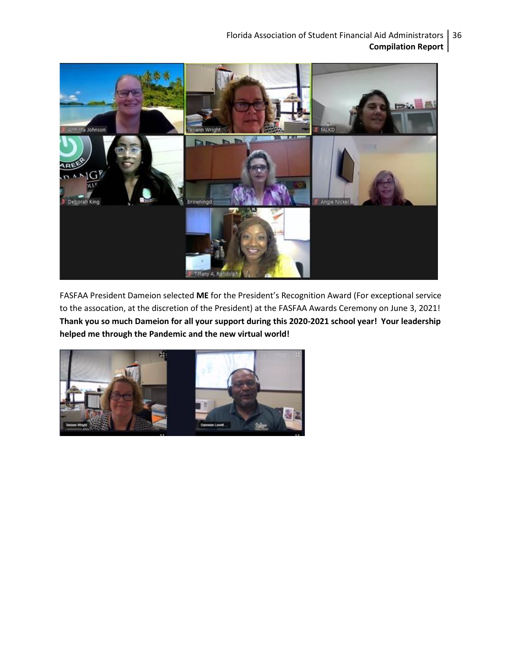

FASFAA President Dameion selected **ME** for the President's Recognition Award (For exceptional service to the assocation, at the discretion of the President) at the FASFAA Awards Ceremony on June 3, 2021! **Thank you so much Dameion for all your support during this 2020-2021 school year! Your leadership helped me through the Pandemic and the new virtual world!**

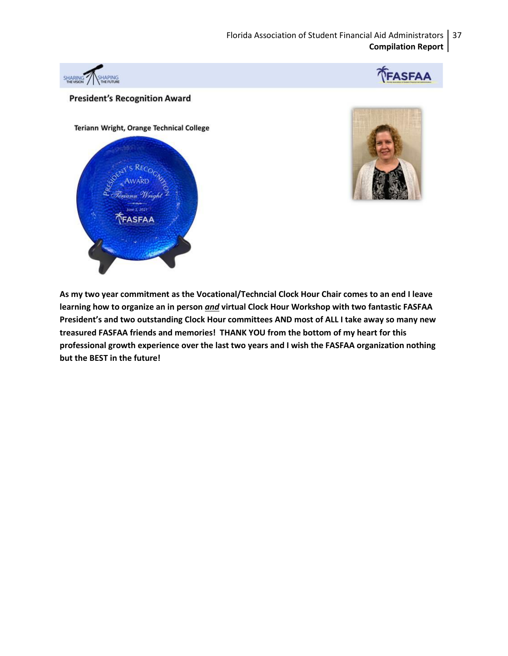



#### **President's Recognition Award**

Teriann Wright, Orange Technical College ASFA



**As my two year commitment as the Vocational/Techncial Clock Hour Chair comes to an end I leave learning how to organize an in person** *and* **virtual Clock Hour Workshop with two fantastic FASFAA President's and two outstanding Clock Hour committees AND most of ALL I take away so many new treasured FASFAA friends and memories! THANK YOU from the bottom of my heart for this professional growth experience over the last two years and I wish the FASFAA organization nothing but the BEST in the future!**